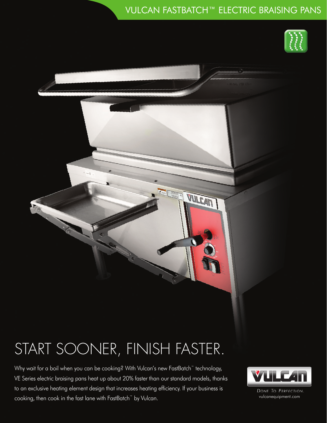### VULCAN FASTBATCH™ ELECTRIC BRAISING PANS

FA



# START SOONER, FINISH FASTER.

Why wait for a boil when you can be cooking? With Vulcan's new FastBatch™ technology, VE Series electric braising pans heat up about 20% faster than our standard models, thanks to an exclusive heating element design that increases heating efficiency. If your business is cooking, then cook in the fast lane with FastBatch™ by Vulcan.



DONE TO PERFECTION. vulcanequipment.com